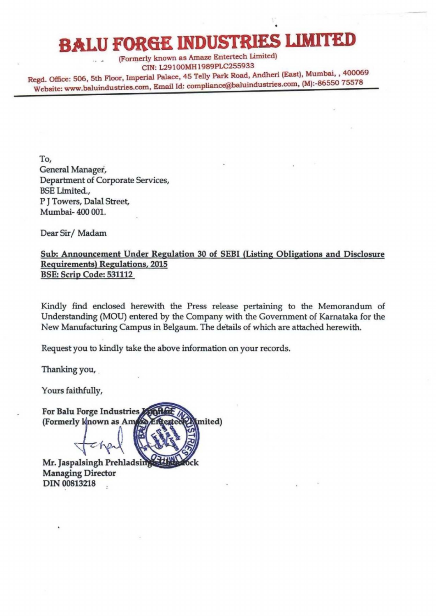## **BALU FOR6E DUSTRIES** LIMITED

(Formerly known as Amaze Entertech Limited) eIN: L291OOMH 1989PLC255933

Regd. Office: 506, 5th Floor, Imperial Palace, 45 Telly Park Road, Andheri (East), Mumbai, , 400069 Website: www.baluindustries.com, Email Id: compliance@baluindustries.com, (M):-86550 75578

To, General Manager, Department of Corporate Services, BSE Limited., P J Towers, Dalal Street, Mumbai- 400 001.

Dear Sir/Madam

Sub: Announcement Under Regulation 30 of SEBI (Listing Obligations and Disclosure Requirements) Regulations, 2015 BSE: Scrip Code: 531112

Kindly find enclosed herewith the Press release pertaining to the Memorandum of Understanding (MOU) entered by the Company with the Government of Kamataka for the New Manufacturing Campus in Belgaum. The details of which are attached herewith.

Request you to kindly take the above information on your records.

Thanking you,

Yours faithfully,

For Balu Forge Industries (Formerly known as Am mited)

Mr. Jaspalsingh Prehladsin Managing Director DIN 00813218  $\ddot{\phantom{a}}$